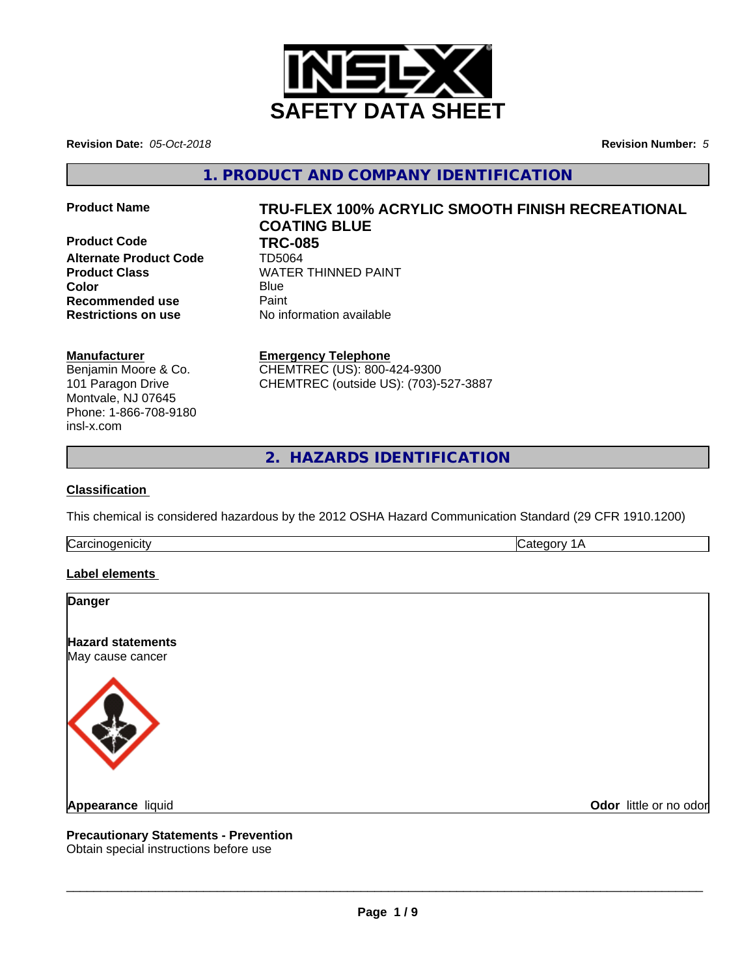

**Revision Date:** *05-Oct-2018* **Revision Number:** *5*

**1. PRODUCT AND COMPANY IDENTIFICATION**

**Product Code TRC-085**<br>Alternate Product Code **TD5064 Alternate Product Code Recommended use** Paint **Restrictions on use** No information available

# **Product Name TRU-FLEX 100% ACRYLIC SMOOTH FINISH RECREATIONAL COATING BLUE**

**Product Class WATER THINNED PAINT Color** Blue Blue

## **Manufacturer**

Benjamin Moore & Co. 101 Paragon Drive Montvale, NJ 07645 Phone: 1-866-708-9180 insl-x.com

**Emergency Telephone** CHEMTREC (US): 800-424-9300 CHEMTREC (outside US): (703)-527-3887

**2. HAZARDS IDENTIFICATION**

### **Classification**

This chemical is considered hazardous by the 2012 OSHA Hazard Communication Standard (29 CFR 1910.1200)

Carcinogenicity **Category 1A** 

## **Label elements**

| <b>Danger</b>                                |                        |
|----------------------------------------------|------------------------|
| <b>Hazard statements</b><br>May cause cancer |                        |
|                                              |                        |
| Appearance liquid                            | Odor little or no odor |

# **Precautionary Statements - Prevention**

Obtain special instructions before use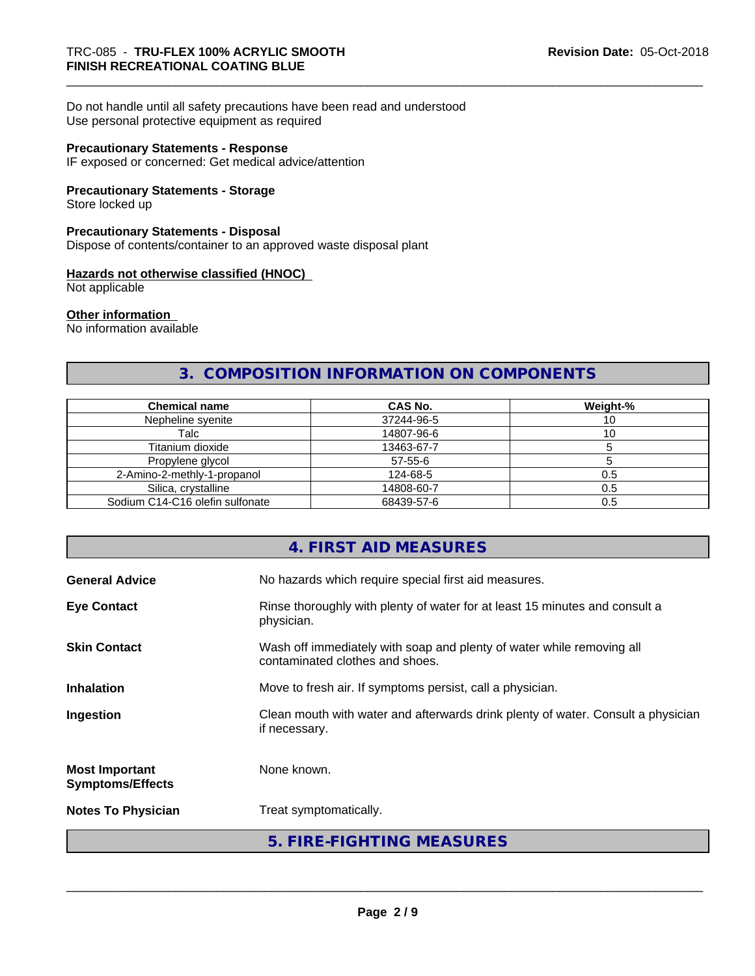Do not handle until all safety precautions have been read and understood Use personal protective equipment as required

#### **Precautionary Statements - Response**

IF exposed or concerned: Get medical advice/attention

#### **Precautionary Statements - Storage**

Store locked up

#### **Precautionary Statements - Disposal**

Dispose of contents/container to an approved waste disposal plant

#### **Hazards not otherwise classified (HNOC)**

Not applicable

#### **Other information**

No information available

# **3. COMPOSITION INFORMATION ON COMPONENTS**

| <b>Chemical name</b>            | CAS No.       | Weight-% |
|---------------------------------|---------------|----------|
| Nepheline svenite               | 37244-96-5    |          |
| Talc                            | 14807-96-6    | ١U       |
| Titanium dioxide                | 13463-67-7    |          |
| Propylene glycol                | $57 - 55 - 6$ |          |
| 2-Amino-2-methly-1-propanol     | 124-68-5      | 0.5      |
| Silica, crystalline             | 14808-60-7    | 0.5      |
| Sodium C14-C16 olefin sulfonate | 68439-57-6    | 0.5      |

## **4. FIRST AID MEASURES**

| <b>General Advice</b>                            | No hazards which require special first aid measures.                                                     |
|--------------------------------------------------|----------------------------------------------------------------------------------------------------------|
| <b>Eye Contact</b>                               | Rinse thoroughly with plenty of water for at least 15 minutes and consult a<br>physician.                |
| <b>Skin Contact</b>                              | Wash off immediately with soap and plenty of water while removing all<br>contaminated clothes and shoes. |
| <b>Inhalation</b>                                | Move to fresh air. If symptoms persist, call a physician.                                                |
| Ingestion                                        | Clean mouth with water and afterwards drink plenty of water. Consult a physician<br>if necessary.        |
| <b>Most Important</b><br><b>Symptoms/Effects</b> | None known.                                                                                              |
| <b>Notes To Physician</b>                        | Treat symptomatically.                                                                                   |
|                                                  | 5. FIRE-FIGHTING MEASURES                                                                                |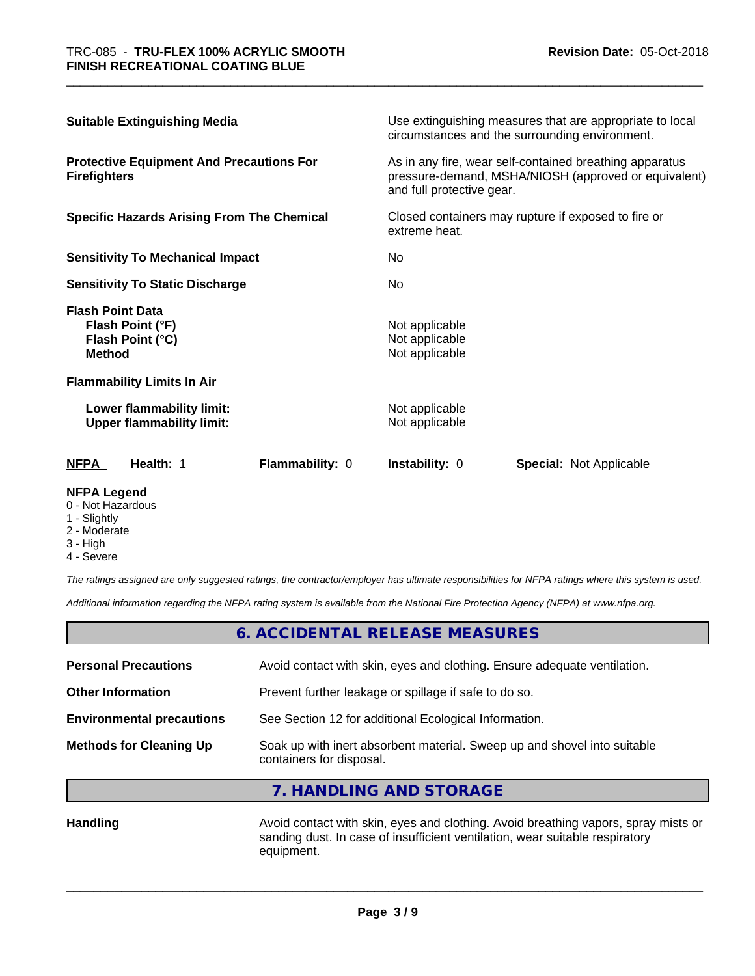| <b>Suitable Extinguishing Media</b>                                                                                                    |                        |                                                                      | Use extinguishing measures that are appropriate to local<br>circumstances and the surrounding environment.      |
|----------------------------------------------------------------------------------------------------------------------------------------|------------------------|----------------------------------------------------------------------|-----------------------------------------------------------------------------------------------------------------|
| <b>Protective Equipment And Precautions For</b><br><b>Firefighters</b>                                                                 |                        | and full protective gear.                                            | As in any fire, wear self-contained breathing apparatus<br>pressure-demand, MSHA/NIOSH (approved or equivalent) |
| <b>Specific Hazards Arising From The Chemical</b><br><b>Sensitivity To Mechanical Impact</b><br><b>Sensitivity To Static Discharge</b> |                        | Closed containers may rupture if exposed to fire or<br>extreme heat. |                                                                                                                 |
|                                                                                                                                        |                        | No                                                                   |                                                                                                                 |
|                                                                                                                                        |                        | No.                                                                  |                                                                                                                 |
| <b>Flash Point Data</b><br>Flash Point (°F)<br>Flash Point (°C)<br><b>Method</b>                                                       |                        | Not applicable<br>Not applicable<br>Not applicable                   |                                                                                                                 |
| <b>Flammability Limits In Air</b>                                                                                                      |                        |                                                                      |                                                                                                                 |
| Lower flammability limit:<br><b>Upper flammability limit:</b>                                                                          |                        | Not applicable<br>Not applicable                                     |                                                                                                                 |
| <b>NFPA</b><br>Health: 1                                                                                                               | <b>Flammability: 0</b> | <b>Instability: 0</b>                                                | Special: Not Applicable                                                                                         |

#### **NFPA Legend**

- 0 Not Hazardous
- 1 Slightly
- 2 Moderate
- 3 High
- 4 Severe

*The ratings assigned are only suggested ratings, the contractor/employer has ultimate responsibilities for NFPA ratings where this system is used.*

*Additional information regarding the NFPA rating system is available from the National Fire Protection Agency (NFPA) at www.nfpa.org.*

|                                  | 6. ACCIDENTAL RELEASE MEASURES                                                                       |
|----------------------------------|------------------------------------------------------------------------------------------------------|
| <b>Personal Precautions</b>      | Avoid contact with skin, eyes and clothing. Ensure adequate ventilation.                             |
| <b>Other Information</b>         | Prevent further leakage or spillage if safe to do so.                                                |
| <b>Environmental precautions</b> | See Section 12 for additional Ecological Information.                                                |
| <b>Methods for Cleaning Up</b>   | Soak up with inert absorbent material. Sweep up and shovel into suitable<br>containers for disposal. |

**7. HANDLING AND STORAGE**

Handling **Handling Avoid contact with skin, eyes and clothing. Avoid breathing vapors, spray mists or** sanding dust. In case of insufficient ventilation, wear suitable respiratory equipment.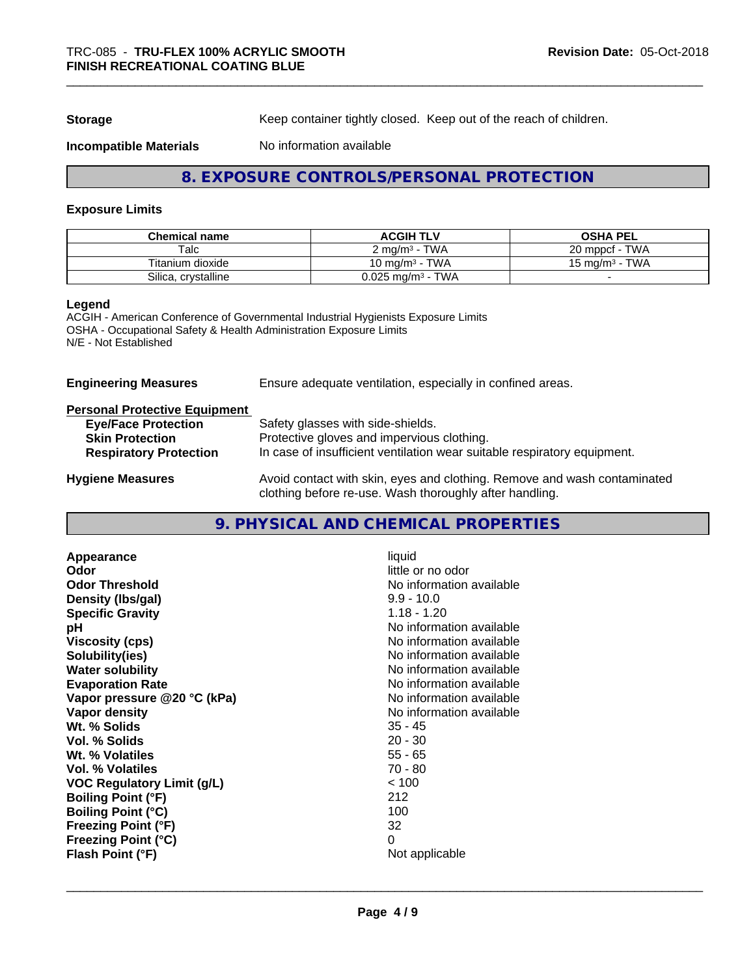**Storage** Keep container tightly closed. Keep out of the reach of children.

**Incompatible Materials** No information available

## **8. EXPOSURE CONTROLS/PERSONAL PROTECTION**

#### **Exposure Limits**

| <b>Chemical name</b> | <b>ACGIH TLV</b>                       | <b>OSHA PEL</b>                   |
|----------------------|----------------------------------------|-----------------------------------|
| Talc                 | <b>TWA</b><br>$\degree$ ma/m $\degree$ | <b>TWA</b><br>20 mppcf            |
| Titanium dioxide     | <b>TWA</b><br>،0 ma/m <sup>3</sup>     | <b>TWA</b><br>$15 \text{ ma/m}^3$ |
| Silica, crystalline  | TWA<br>$0.025$ mg/m $3$ -              |                                   |

#### **Legend**

ACGIH - American Conference of Governmental Industrial Hygienists Exposure Limits OSHA - Occupational Safety & Health Administration Exposure Limits N/E - Not Established

| Ensure adequate ventilation, especially in confined areas.                                                                          |  |
|-------------------------------------------------------------------------------------------------------------------------------------|--|
|                                                                                                                                     |  |
| Safety glasses with side-shields.                                                                                                   |  |
| Protective gloves and impervious clothing.                                                                                          |  |
| In case of insufficient ventilation wear suitable respiratory equipment.                                                            |  |
| Avoid contact with skin, eyes and clothing. Remove and wash contaminated<br>clothing before re-use. Wash thoroughly after handling. |  |
|                                                                                                                                     |  |

## **9. PHYSICAL AND CHEMICAL PROPERTIES**

| Appearance                        | liquid                   |
|-----------------------------------|--------------------------|
| Odor                              | little or no odor        |
| <b>Odor Threshold</b>             | No information available |
| Density (Ibs/gal)                 | $9.9 - 10.0$             |
| <b>Specific Gravity</b>           | $1.18 - 1.20$            |
| рH                                | No information available |
| <b>Viscosity (cps)</b>            | No information available |
| Solubility(ies)                   | No information available |
| <b>Water solubility</b>           | No information available |
| <b>Evaporation Rate</b>           | No information available |
| Vapor pressure @20 °C (kPa)       | No information available |
| Vapor density                     | No information available |
| Wt. % Solids                      | $35 - 45$                |
| Vol. % Solids                     | $20 - 30$                |
| Wt. % Volatiles                   | $55 - 65$                |
| Vol. % Volatiles                  | 70 - 80                  |
| <b>VOC Regulatory Limit (g/L)</b> | < 100                    |
| <b>Boiling Point (°F)</b>         | 212                      |
| <b>Boiling Point (°C)</b>         | 100                      |
| <b>Freezing Point (°F)</b>        | 32                       |
| <b>Freezing Point (°C)</b>        | 0                        |
| Flash Point (°F)                  | Not applicable           |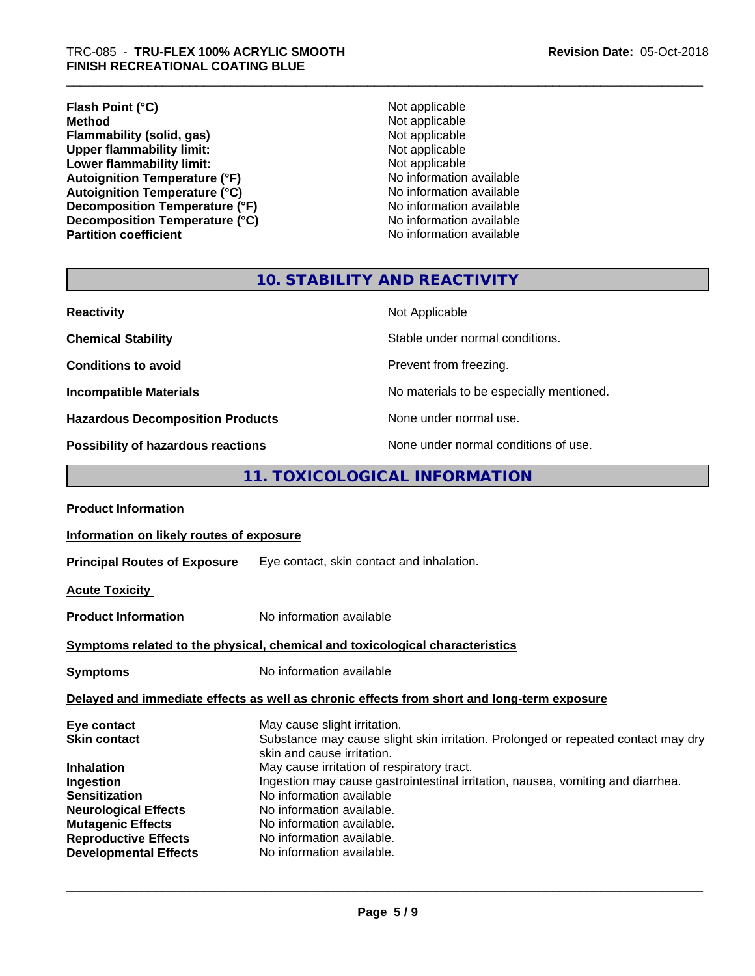**Flash Point (°C)**<br> **Method**<br> **Method**<br>
Not applicable **Flammability (solid, gas)**<br> **Contains Upper flammability limit:**<br>
Upper flammability limit:<br>
Not applicable **Upper flammability limit:**<br> **Lower flammability limit:**<br>
Not applicable<br>
Not applicable **Lower flammability limit:**<br> **Autoignition Temperature (°F)**<br>
Mo information available Autoignition Temperature (°F)<br>
Autoignition Temperature (°C)<br>
No information available **Autoignition Temperature (°C)**<br> **Decomposition Temperature (°F)** No information available **Decomposition Temperature (°F)**<br> **Decomposition Temperature (°C)**<br>
No information available **Decomposition Temperature (°C) Partition coefficient Contract Contract Contract Contract Contract Contract Contract Contract Contract Contract Contract Contract Contract Contract Contract Contract Contract Contract Contract Contract Contract Contract** 

**Not applicable**<br>**Not applicable** 

# **10. STABILITY AND REACTIVITY**

| <b>Reactivity</b>                       | Not Applicable                           |
|-----------------------------------------|------------------------------------------|
| <b>Chemical Stability</b>               | Stable under normal conditions.          |
| <b>Conditions to avoid</b>              | Prevent from freezing.                   |
| <b>Incompatible Materials</b>           | No materials to be especially mentioned. |
| <b>Hazardous Decomposition Products</b> | None under normal use.                   |
| Possibility of hazardous reactions      | None under normal conditions of use.     |

## **11. TOXICOLOGICAL INFORMATION**

| <b>Product Information</b>                                                                                                  |                                                                                                                                                                                                                                                                                                                                           |
|-----------------------------------------------------------------------------------------------------------------------------|-------------------------------------------------------------------------------------------------------------------------------------------------------------------------------------------------------------------------------------------------------------------------------------------------------------------------------------------|
| Information on likely routes of exposure                                                                                    |                                                                                                                                                                                                                                                                                                                                           |
|                                                                                                                             | <b>Principal Routes of Exposure</b> Eye contact, skin contact and inhalation.                                                                                                                                                                                                                                                             |
| <b>Acute Toxicity</b>                                                                                                       |                                                                                                                                                                                                                                                                                                                                           |
| <b>Product Information</b>                                                                                                  | No information available                                                                                                                                                                                                                                                                                                                  |
|                                                                                                                             | Symptoms related to the physical, chemical and toxicological characteristics                                                                                                                                                                                                                                                              |
| <b>Symptoms</b>                                                                                                             | No information available                                                                                                                                                                                                                                                                                                                  |
|                                                                                                                             | Delayed and immediate effects as well as chronic effects from short and long-term exposure                                                                                                                                                                                                                                                |
| Eye contact<br><b>Skin contact</b><br><b>Inhalation</b><br>Ingestion<br><b>Sensitization</b><br><b>Neurological Effects</b> | May cause slight irritation.<br>Substance may cause slight skin irritation. Prolonged or repeated contact may dry<br>skin and cause irritation.<br>May cause irritation of respiratory tract.<br>Ingestion may cause gastrointestinal irritation, nausea, vomiting and diarrhea.<br>No information available<br>No information available. |
| <b>Mutagenic Effects</b><br><b>Reproductive Effects</b><br><b>Developmental Effects</b>                                     | No information available.<br>No information available.<br>No information available.                                                                                                                                                                                                                                                       |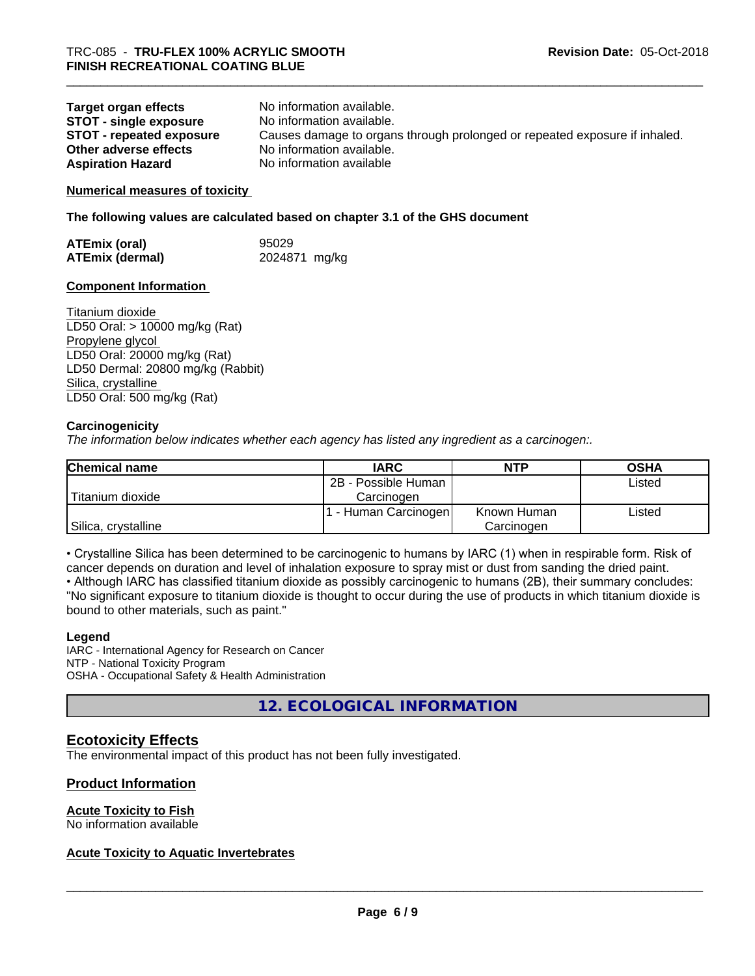| <b>Target organ effects</b> | No information available.                                                  |
|-----------------------------|----------------------------------------------------------------------------|
| STOT - single exposure      | No information available.                                                  |
| STOT - repeated exposure    | Causes damage to organs through prolonged or repeated exposure if inhaled. |
| Other adverse effects       | No information available.                                                  |
| <b>Aspiration Hazard</b>    | No information available                                                   |

#### **Numerical measures of toxicity**

**The following values are calculated based on chapter 3.1 of the GHS document**

| <b>ATEmix (oral)</b>   | 95029         |
|------------------------|---------------|
| <b>ATEmix (dermal)</b> | 2024871 mg/kg |

#### **Component Information**

Titanium dioxide LD50 Oral: > 10000 mg/kg (Rat) Propylene glycol LD50 Oral: 20000 mg/kg (Rat) LD50 Dermal: 20800 mg/kg (Rabbit) Silica, crystalline LD50 Oral: 500 mg/kg (Rat)

#### **Carcinogenicity**

*The information below indicateswhether each agency has listed any ingredient as a carcinogen:.*

| <b>Chemical name</b> | <b>IARC</b>          | <b>NTP</b>  | <b>OSHA</b> |
|----------------------|----------------------|-------------|-------------|
|                      | 2B - Possible Human  |             | Listed      |
| Titanium dioxide     | Carcinoɑen           |             |             |
|                      | . - Human Carcinogen | Known Human | Listed      |
| Silica, crystalline  |                      | Carcinogen  |             |

• Crystalline Silica has been determined to be carcinogenic to humans by IARC (1) when in respirable form. Risk of cancer depends on duration and level of inhalation exposure to spray mist or dust from sanding the dried paint.

• Although IARC has classified titanium dioxide as possibly carcinogenic to humans (2B), their summary concludes: "No significant exposure to titanium dioxide is thought to occur during the use of products in which titanium dioxide is bound to other materials, such as paint."

#### **Legend**

IARC - International Agency for Research on Cancer NTP - National Toxicity Program OSHA - Occupational Safety & Health Administration

**12. ECOLOGICAL INFORMATION**

## **Ecotoxicity Effects**

The environmental impact of this product has not been fully investigated.

#### **Product Information**

## **Acute Toxicity to Fish**

No information available

#### **Acute Toxicity to Aquatic Invertebrates**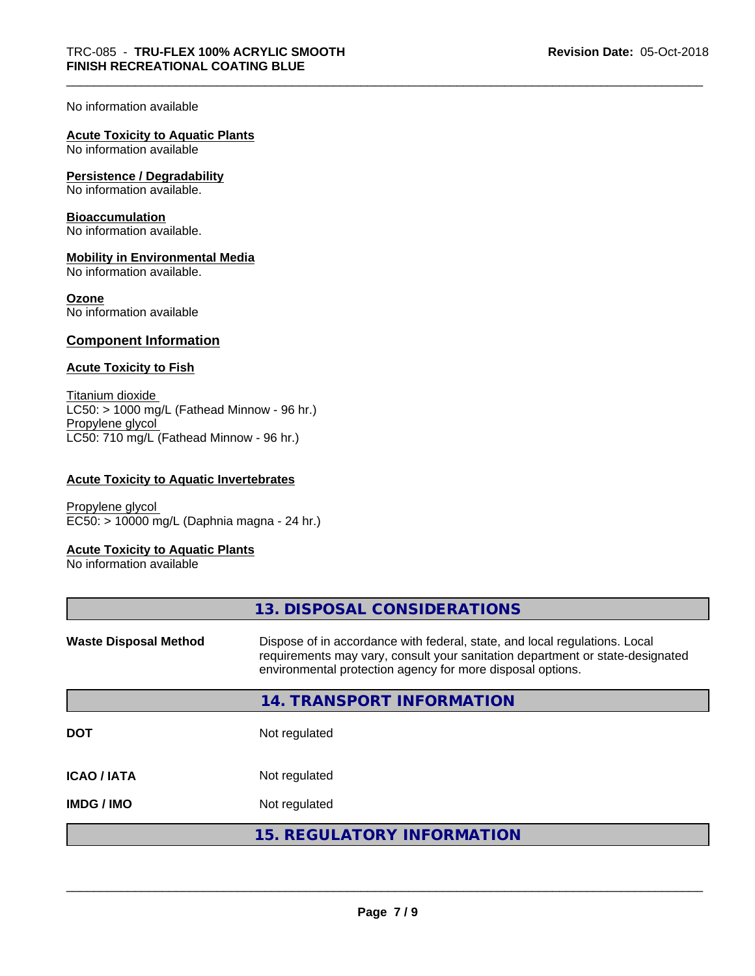#### No information available

## **Acute Toxicity to Aquatic Plants**

No information available

#### **Persistence / Degradability**

No information available.

#### **Bioaccumulation**

No information available.

#### **Mobility in Environmental Media**

No information available.

#### **Ozone**

No information available

## **Component Information**

#### **Acute Toxicity to Fish**

Titanium dioxide  $LCS0: > 1000$  mg/L (Fathead Minnow - 96 hr.) Propylene glycol LC50: 710 mg/L (Fathead Minnow - 96 hr.)

#### **Acute Toxicity to Aquatic Invertebrates**

Propylene glycol EC50: > 10000 mg/L (Daphnia magna - 24 hr.)

#### **Acute Toxicity to Aquatic Plants**

No information available

|                              | 13. DISPOSAL CONSIDERATIONS                                                                                                                                                                                               |
|------------------------------|---------------------------------------------------------------------------------------------------------------------------------------------------------------------------------------------------------------------------|
| <b>Waste Disposal Method</b> | Dispose of in accordance with federal, state, and local regulations. Local<br>requirements may vary, consult your sanitation department or state-designated<br>environmental protection agency for more disposal options. |
|                              | <b>14. TRANSPORT INFORMATION</b>                                                                                                                                                                                          |
| <b>DOT</b>                   | Not regulated                                                                                                                                                                                                             |
| <b>ICAO/IATA</b>             | Not regulated                                                                                                                                                                                                             |
| <b>IMDG/IMO</b>              | Not regulated                                                                                                                                                                                                             |
|                              | <b>15. REGULATORY INFORMATION</b>                                                                                                                                                                                         |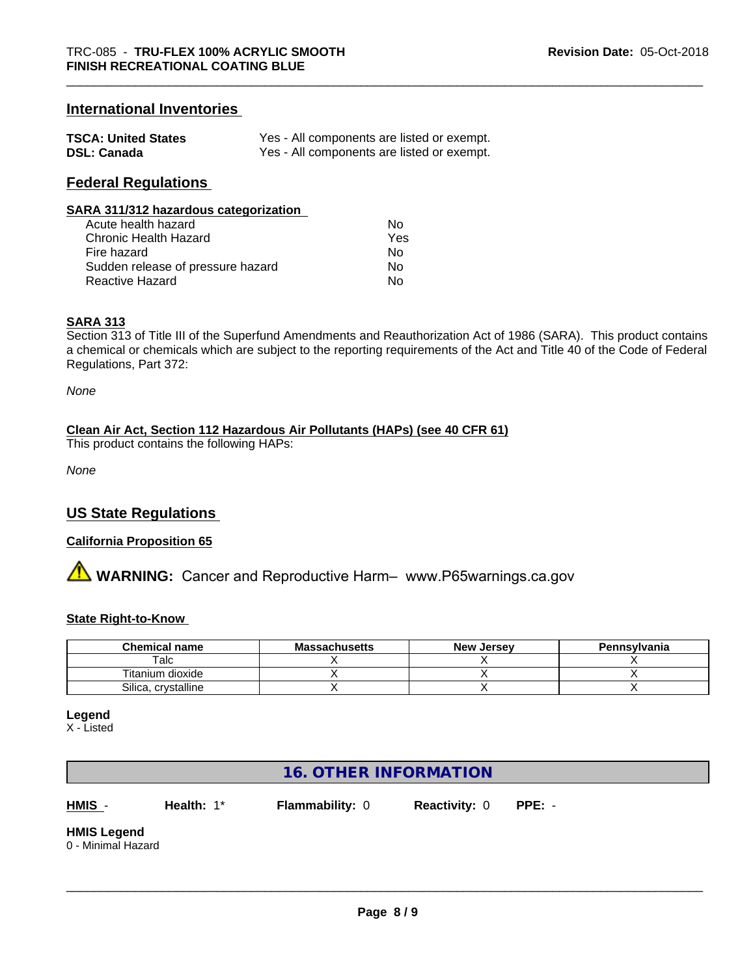## **International Inventories**

| <b>TSCA: United States</b> | Yes - All components are listed or exempt. |
|----------------------------|--------------------------------------------|
| <b>DSL: Canada</b>         | Yes - All components are listed or exempt. |

## **Federal Regulations**

#### **SARA 311/312 hazardous categorization**

| Acute health hazard               | Nο  |
|-----------------------------------|-----|
| Chronic Health Hazard             | Yes |
| Fire hazard                       | Nο  |
| Sudden release of pressure hazard | N٥  |
| Reactive Hazard                   | N٥  |

#### **SARA 313**

Section 313 of Title III of the Superfund Amendments and Reauthorization Act of 1986 (SARA). This product contains a chemical or chemicals which are subject to the reporting requirements of the Act and Title 40 of the Code of Federal Regulations, Part 372:

*None*

#### **Clean Air Act,Section 112 Hazardous Air Pollutants (HAPs) (see 40 CFR 61)**

This product contains the following HAPs:

*None*

## **US State Regulations**

#### **California Proposition 65**

**A WARNING:** Cancer and Reproductive Harm– www.P65warnings.ca.gov

#### **State Right-to-Know**

| <b>Chemical name</b>   | <b>Massachusetts</b> | <b>New Jersey</b> | Pennsylvania |
|------------------------|----------------------|-------------------|--------------|
| alc                    |                      |                   |              |
| Titanium dioxide       |                      |                   |              |
| Silica.<br>crystalline |                      |                   |              |

**Legend**

X - Listed

## **16. OTHER INFORMATION**

**HMIS** - **Health:** 1\* **Flammability:** 0 **Reactivity:** 0 **PPE:** -

 $\overline{\phantom{a}}$  ,  $\overline{\phantom{a}}$  ,  $\overline{\phantom{a}}$  ,  $\overline{\phantom{a}}$  ,  $\overline{\phantom{a}}$  ,  $\overline{\phantom{a}}$  ,  $\overline{\phantom{a}}$  ,  $\overline{\phantom{a}}$  ,  $\overline{\phantom{a}}$  ,  $\overline{\phantom{a}}$  ,  $\overline{\phantom{a}}$  ,  $\overline{\phantom{a}}$  ,  $\overline{\phantom{a}}$  ,  $\overline{\phantom{a}}$  ,  $\overline{\phantom{a}}$  ,  $\overline{\phantom{a}}$ 

**HMIS Legend**

0 - Minimal Hazard